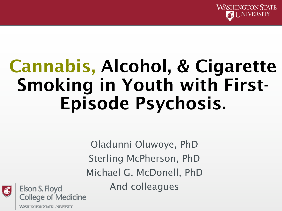

# Cannabis, Alcohol, & Cigarette Smoking in Youth with First-Episode Psychosis.

Oladunni Oluwoye, PhD Sterling McPherson, PhD Michael G. McDonell, PhD And colleagues Elson S. Floyd<br>College of Medicine



**WASHINGTON STATE UNIVERSITY**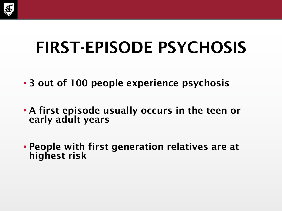

### FIRST-EPISODE PSYCHOSIS

- 3 out of 100 people experience psychosis
- A first episode usually occurs in the teen or early adult years
- People with first generation relatives are at highest risk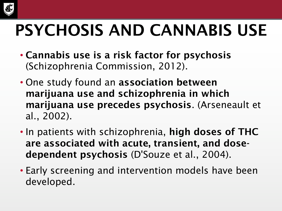

# PSYCHOSIS AND CANNABIS USE

- Cannabis use is a risk factor for psychosis (Schizophrenia Commission, 2012).
- One study found an association between marijuana use and schizophrenia in which marijuana use precedes psychosis. (Arseneault et al., 2002).
- In patients with schizophrenia, high doses of THC are associated with acute, transient, and dosedependent psychosis (D'Souze et al., 2004).
- Early screening and intervention models have been developed.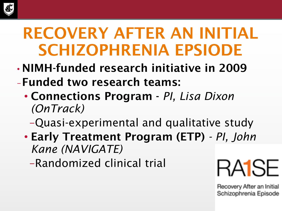

### RECOVERY AFTER AN INITIAL SCHIZOPHRENIA EPSIODE

- NIMH-funded research initiative in 2009 –Funded two research teams:
	- Connections Program *PI, Lisa Dixon (OnTrack)*

–Quasi-experimental and qualitative study

• Early Treatment Program (ETP) *- PI, John Kane (NAVIGATE)*

–Randomized clinical trial

RA1SF

Recovery After an Initial Schizophrenia Episode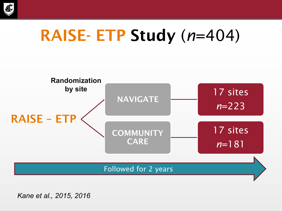

### RAISE- ETP Study (*n*=404)



*Kane et al., 2015, 2016*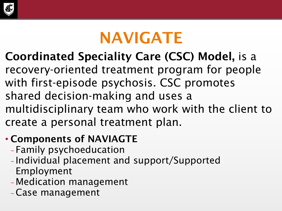

### NAVIGATE

#### Coordinated Speciality Care (CSC) Model, is a

recovery-oriented treatment program for people with first-episode psychosis. CSC promotes shared decision-making and uses a multidisciplinary team who work with the client to create a personal treatment plan.

#### • Components of NAVIAGTE

- Family psychoeducation
- Individual placement and support/Supported Employment
- Medication management
- –Case management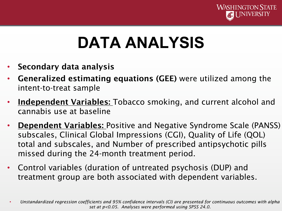

### **DATA ANALYSIS**

- Secondary data analysis
- Generalized estimating equations (GEE) were utilized among the intent-to-treat sample
- Independent Variables: Tobacco smoking, and current alcohol and cannabis use at baseline
- **Dependent Variables:** Positive and Negative Syndrome Scale (PANSS) subscales, Clinical Global Impressions (CGI), Quality of Life (QOL) total and subscales, and Number of prescribed antipsychotic pills missed during the 24-month treatment period.
- Control variables (duration of untreated psychosis (DUP) and treatment group are both associated with dependent variables.

<sup>•</sup> *Unstandardized regression coefficients and 95% confidence intervals (CI) are presented for continuous outcomes with alpha set at p<0.05. Analyses were performed using SPSS 24.0.*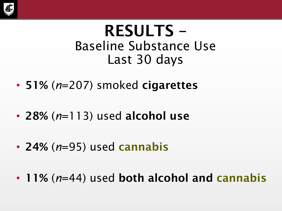

#### RESULTS – Baseline Substance Use Last 30 days

- 51% (*n*=207) smoked cigarettes
- 28% (*n*=113) used alcohol use
- 24% (*n*=95) used cannabis
- 11% (*n*=44) used both alcohol and cannabis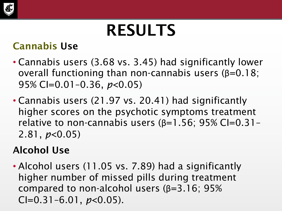

### RESULTS

#### Cannabis Use

- Cannabis users (3.68 vs. 3.45) had significantly lower overall functioning than non-cannabis users (β=0.18; 95% CI=0.01–0.36, *p*<0.05)
- Cannabis users (21.97 vs. 20.41) had significantly higher scores on the psychotic symptoms treatment relative to non-cannabis users  $(β=1.56; 95% CI=0.31-$ 2.81, *p*<0.05)

#### Alcohol Use

• Alcohol users (11.05 vs. 7.89) had a significantly higher number of missed pills during treatment compared to non-alcohol users (β=3.16; 95% CI=0.31–6.01, *p*<0.05).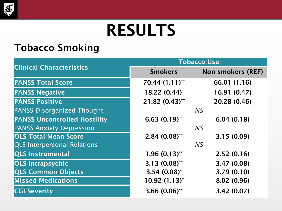

### RESULTS

#### Tobacco Smoking

| <b>Clinical Characteristics</b>     | <b>Tobacco Use</b> |                          |
|-------------------------------------|--------------------|--------------------------|
|                                     | <b>Smokers</b>     | <b>Non-smokers (REF)</b> |
| <b>PANSS Total Score</b>            | 70.44 (1.11)**     | 66.01 (1.16)             |
| <b>PANSS Negative</b>               | $18.22 (0.44)^*$   | 16.91 (0.47)             |
| <b>PANSS Positive</b>               | 21.82 (0.43)**     | 20.28 (0.46)             |
| <b>PANSS Disorganized Thought</b>   | <b>NS</b>          |                          |
| <b>PANSS Uncontrolled Hostility</b> | $6.63(0.19)$ **    | 6.04(0.18)               |
| <b>PANSS Anxiety Depression</b>     | <b>NS</b>          |                          |
| <b>QLS Total Mean Score</b>         | $2.84(0.08)$ **    | 3.15(0.09)               |
| <b>QLS Interpersonal Relations</b>  | <b>NS</b>          |                          |
| <b>QLS Instrumental</b>             | $1.96(0.13)$ **    | 2.52(0.16)               |
| <b>QLS Intrapsychic</b>             | $3.13(0.08)$ **    | 3.47 (0.08)              |
| <b>QLS Common Objects</b>           | $3.54(0.08)^{*}$   | 3.79(0.10)               |
| <b>Missed Medications</b>           | $10.92(1.13)^{*}$  | 8.02 (0.96)              |
| <b>CGI Severity</b>                 | $3.66(0.06)$ **    | 3.42 (0.07)              |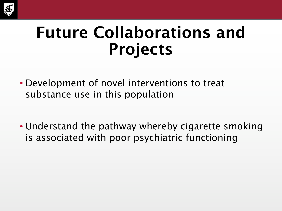

### Future Collaborations and Projects

- Development of novel interventions to treat substance use in this population
- Understand the pathway whereby cigarette smoking is associated with poor psychiatric functioning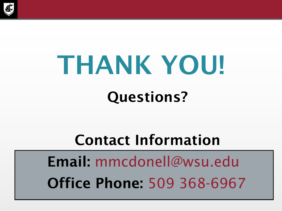

# THANK YOU! Questions?

#### Contact Information

Email: mmcdonell@wsu.edu Office Phone: 509 368-6967